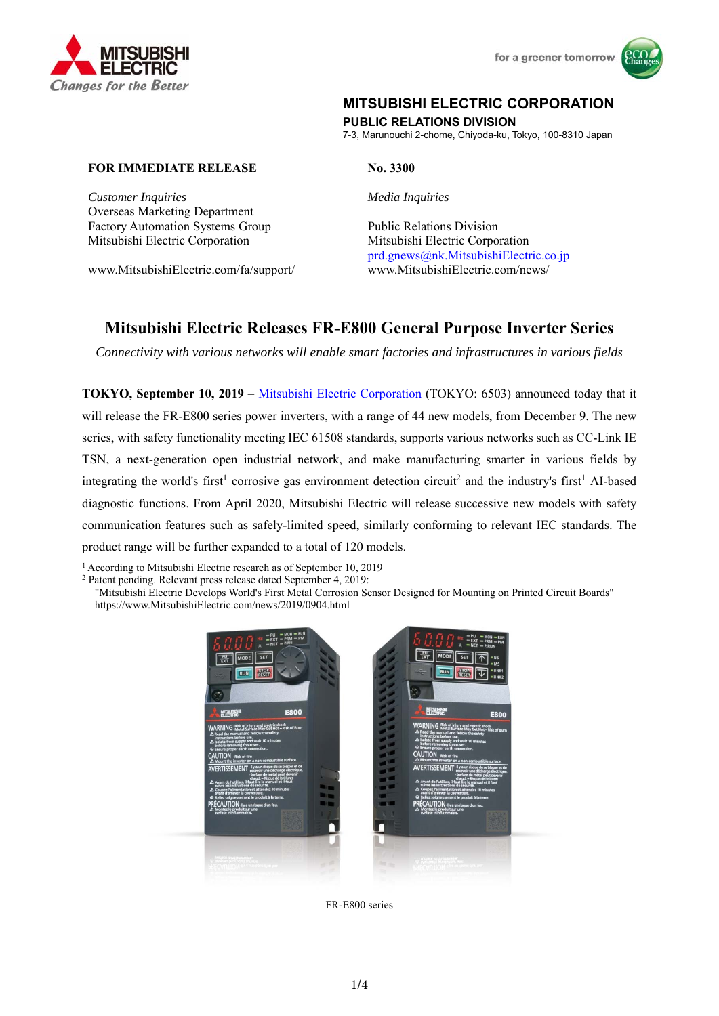

# **MITSUBISHI ELECTRIC CORPORATION**

**PUBLIC RELATIONS DIVISION**  7-3, Marunouchi 2-chome, Chiyoda-ku, Tokyo, 100-8310 Japan

#### **FOR IMMEDIATE RELEASE No. 3300**

*Customer Inquiries Media Inquiries*  Overseas Marketing Department Factory Automation Systems Group Public Relations Division Mitsubishi Electric Corporation Mitsubishi Electric Corporation

www.MitsubishiElectric.com/fa/support/ www.MitsubishiElectric.com/news/

prd.gnews@nk.MitsubishiElectric.co.jp

## **Mitsubishi Electric Releases FR-E800 General Purpose Inverter Series**

*Connectivity with various networks will enable smart factories and infrastructures in various fields* 

**TOKYO, September 10, 2019** – Mitsubishi Electric Corporation (TOKYO: 6503) announced today that it will release the FR-E800 series power inverters, with a range of 44 new models, from December 9. The new series, with safety functionality meeting IEC 61508 standards, supports various networks such as CC-Link IE TSN, a next-generation open industrial network, and make manufacturing smarter in various fields by integrating the world's first<sup>1</sup> corrosive gas environment detection circuit<sup>2</sup> and the industry's first<sup>1</sup> AI-based diagnostic functions. From April 2020, Mitsubishi Electric will release successive new models with safety communication features such as safely-limited speed, similarly conforming to relevant IEC standards. The product range will be further expanded to a total of 120 models.

<sup>1</sup> According to Mitsubishi Electric research as of September 10, 2019 <sup>2</sup> Patent pending. Relevant press release dated September 4, 2019:

"Mitsubishi Electric Develops World's First Metal Corrosion Sensor Designed for Mounting on Printed Circuit Boards" https://www.MitsubishiElectric.com/news/2019/0904.html





FR-E800 series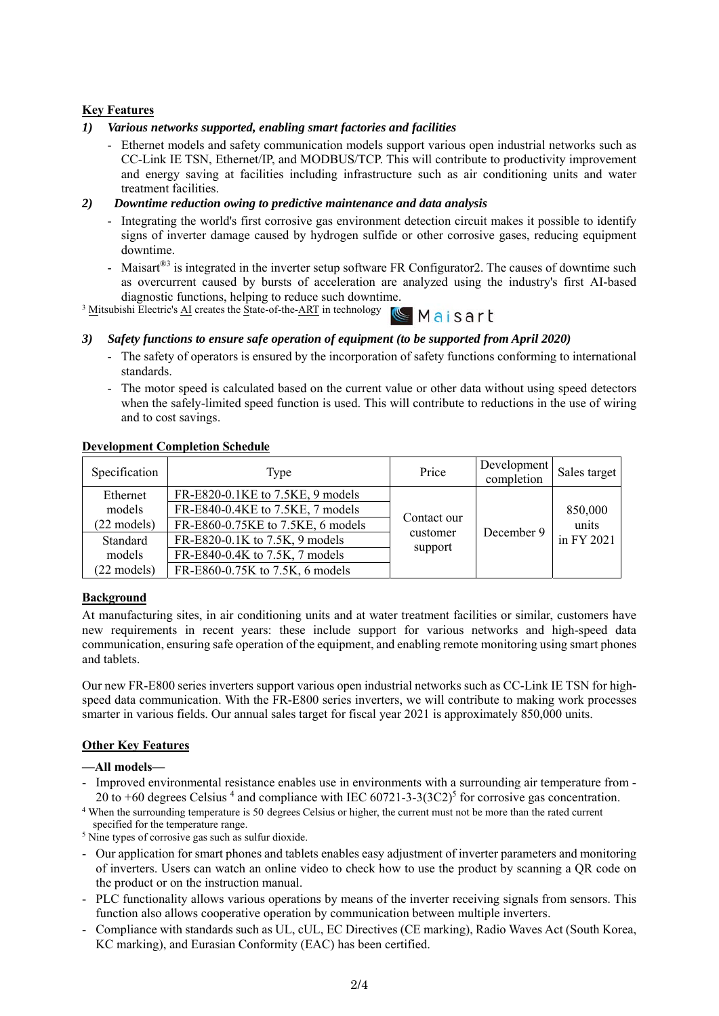### **Key Features**

#### *1) Various networks supported, enabling smart factories and facilities*

- Ethernet models and safety communication models support various open industrial networks such as CC-Link IE TSN, Ethernet/IP, and MODBUS/TCP. This will contribute to productivity improvement and energy saving at facilities including infrastructure such as air conditioning units and water treatment facilities.

#### *2) Downtime reduction owing to predictive maintenance and data analysis*

- Integrating the world's first corrosive gas environment detection circuit makes it possible to identify signs of inverter damage caused by hydrogen sulfide or other corrosive gases, reducing equipment downtime.
- Maisart<sup>®3</sup> is integrated in the inverter setup software FR Configurator2. The causes of downtime such as overcurrent caused by bursts of acceleration are analyzed using the industry's first AI-based diagnostic functions, helping to reduce such downtime.

 $\frac{3 \text{ M}}{1 \text{ s}}$  Mitsubishi Electric's AI creates the State-of-the-ART in technology  $\mathbb{C}$  M a i S a r L

#### *3) Safety functions to ensure safe operation of equipment (to be supported from April 2020)*

- The safety of operators is ensured by the incorporation of safety functions conforming to international standards.
- The motor speed is calculated based on the current value or other data without using speed detectors when the safely-limited speed function is used. This will contribute to reductions in the use of wiring and to cost savings.

#### **Development Completion Schedule**

| Specification         | Type                              | Price       | Development<br>completion | Sales target |
|-----------------------|-----------------------------------|-------------|---------------------------|--------------|
| Ethernet              | FR-E820-0.1KE to 7.5KE, 9 models  |             |                           | 850,000      |
| models                | FR-E840-0.4KE to 7.5KE, 7 models  |             |                           |              |
| $(22 \text{ models})$ | FR-E860-0.75KE to 7.5KE, 6 models | Contact our |                           | units        |
| Standard              | FR-E820-0.1K to 7.5K, 9 models    | customer    | December 9                | in FY 2021   |
| models                | FR-E840-0.4K to 7.5K, 7 models    | support     |                           |              |
| $(22 \text{ models})$ | FR-E860-0.75K to 7.5K, 6 models   |             |                           |              |

#### **Background**

At manufacturing sites, in air conditioning units and at water treatment facilities or similar, customers have new requirements in recent years: these include support for various networks and high-speed data communication, ensuring safe operation of the equipment, and enabling remote monitoring using smart phones and tablets.

Our new FR-E800 series inverters support various open industrial networks such as CC-Link IE TSN for highspeed data communication. With the FR-E800 series inverters, we will contribute to making work processes smarter in various fields. Our annual sales target for fiscal year 2021 is approximately 850,000 units.

#### **Other Key Features**

#### **—All models—**

- Improved environmental resistance enables use in environments with a surrounding air temperature from - 20 to  $+60$  degrees Celsius<sup>4</sup> and compliance with IEC 60721-3-3(3C2)<sup>5</sup>

<sup>4</sup> When the surrounding temperature is 50 degrees Celsius or higher, the current must not be more than the rated current specified for the temperature range.

 $\frac{1}{2}$  Nine types of corrosive gas such as sulfur dioxide.

- Our application for smart phones and tablets enables easy adjustment of inverter parameters and monitoring of inverters. Users can watch an online video to check how to use the product by scanning a QR code on the product or on the instruction manual.
- PLC functionality allows various operations by means of the inverter receiving signals from sensors. This function also allows cooperative operation by communication between multiple inverters.
- Compliance with standards such as UL, cUL, EC Directives (CE marking), Radio Waves Act (South Korea, KC marking), and Eurasian Conformity (EAC) has been certified.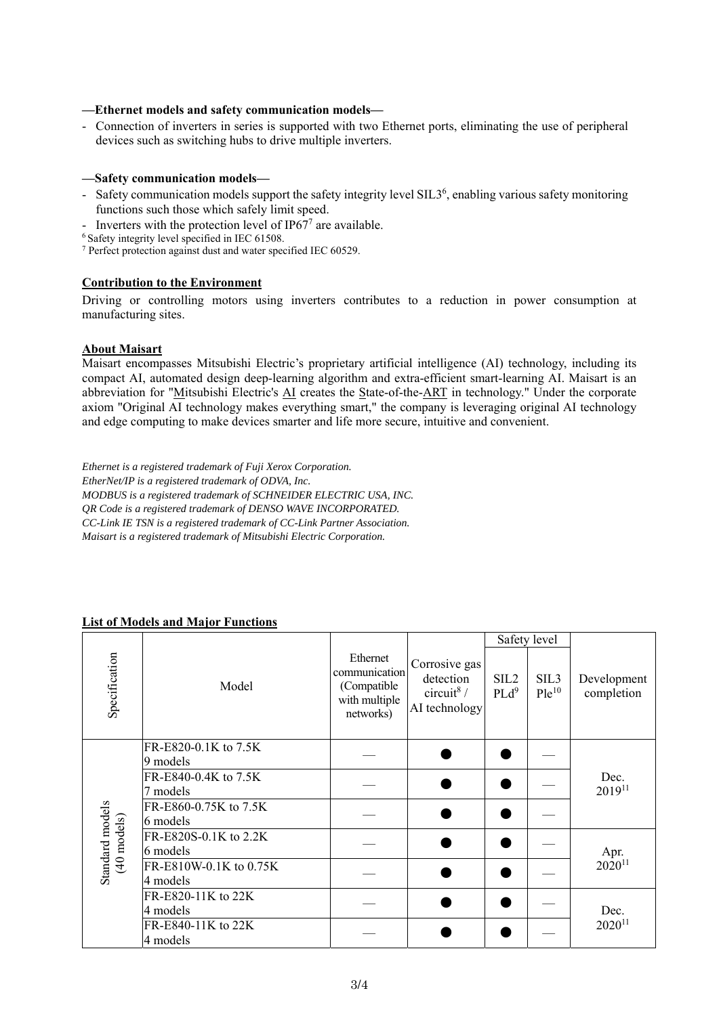#### **—Ethernet models and safety communication models—**

- Connection of inverters in series is supported with two Ethernet ports, eliminating the use of peripheral devices such as switching hubs to drive multiple inverters.

#### **—Safety communication models—**

- Safety communication models support the safety integrity level SIL3<sup>6</sup>, enabling various safety monitoring functions such those which safely limit speed.
- Inverters with the protection level of IP67<sup>7</sup> are available.<br><sup>6</sup> Safety integrity level specified in IEC 61508.
- 

7 Perfect protection against dust and water specified IEC 60529.

#### **Contribution to the Environment**

Driving or controlling motors using inverters contributes to a reduction in power consumption at manufacturing sites.

#### **About Maisart**

Maisart encompasses Mitsubishi Electric's proprietary artificial intelligence (AI) technology, including its compact AI, automated design deep-learning algorithm and extra-efficient smart-learning AI. Maisart is an abbreviation for "Mitsubishi Electric's AI creates the State-of-the-ART in technology." Under the corporate axiom "Original AI technology makes everything smart," the company is leveraging original AI technology and edge computing to make devices smarter and life more secure, intuitive and convenient.

*Ethernet is a registered trademark of Fuji Xerox Corporation. EtherNet/IP is a registered trademark of ODVA, Inc. MODBUS is a registered trademark of SCHNEIDER ELECTRIC USA, INC. QR Code is a registered trademark of DENSO WAVE INCORPORATED. CC-Link IE TSN is a registered trademark of CC-Link Partner Association. Maisart is a registered trademark of Mitsubishi Electric Corporation.* 

#### **List of Models and Major Functions**

|                                          |                                    |                                                                        |                                                                       | Safety level                |                                |                           |  |
|------------------------------------------|------------------------------------|------------------------------------------------------------------------|-----------------------------------------------------------------------|-----------------------------|--------------------------------|---------------------------|--|
| Specification                            | Model                              | Ethernet<br>communication<br>(Compatible<br>with multiple<br>networks) | Corrosive gas<br>detection<br>circuit <sup>8</sup> /<br>AI technology | SIL <sub>2</sub><br>$PLd^9$ | SIL <sub>3</sub><br>$P1e^{10}$ | Development<br>completion |  |
| Standard models<br>$(40 \text{ models})$ | FR-E820-0.1K to 7.5K<br>9 models   |                                                                        |                                                                       |                             |                                |                           |  |
|                                          | FR-E840-0.4K to 7.5K<br>7 models   |                                                                        |                                                                       |                             |                                | Dec.<br>$2019^{11}$       |  |
|                                          | FR-E860-0.75K to 7.5K<br>6 models  |                                                                        |                                                                       |                             |                                |                           |  |
|                                          | FR-E820S-0.1K to 2.2K<br>6 models  |                                                                        |                                                                       |                             |                                | Apr.                      |  |
|                                          | FR-E810W-0.1K to 0.75K<br>4 models |                                                                        |                                                                       |                             |                                | $2020^{11}$               |  |
|                                          | FR-E820-11K to 22K<br>4 models     |                                                                        |                                                                       |                             |                                | Dec.                      |  |
|                                          | FR-E840-11K to 22K<br>4 models     |                                                                        |                                                                       |                             |                                | $2020^{11}$               |  |